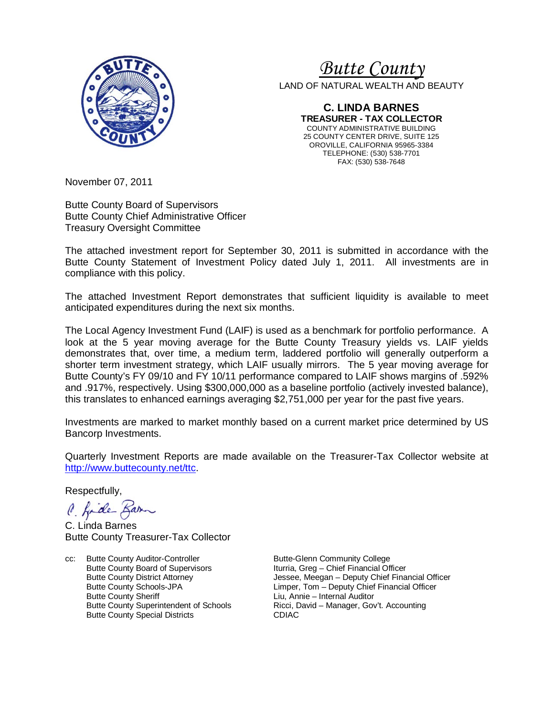

# *<sup>U</sup>Butte County*

LAND OF NATURAL WEALTH AND BEAUTY

**C. LINDA BARNES TREASURER - TAX COLLECTOR** COUNTY ADMINISTRATIVE BUILDING 25 COUNTY CENTER DRIVE, SUITE 125 OROVILLE, CALIFORNIA 95965-3384 TELEPHONE: (530) 538-7701 FAX: (530) 538-7648

November 07, 2011

Butte County Board of Supervisors Butte County Chief Administrative Officer Treasury Oversight Committee

The attached investment report for September 30, 2011 is submitted in accordance with the Butte County Statement of Investment Policy dated July 1, 2011. All investments are in compliance with this policy.

The attached Investment Report demonstrates that sufficient liquidity is available to meet anticipated expenditures during the next six months.

The Local Agency Investment Fund (LAIF) is used as a benchmark for portfolio performance. A look at the 5 year moving average for the Butte County Treasury yields vs. LAIF yields demonstrates that, over time, a medium term, laddered portfolio will generally outperform a shorter term investment strategy, which LAIF usually mirrors. The 5 year moving average for Butte County's FY 09/10 and FY 10/11 performance compared to LAIF shows margins of .592% and .917%, respectively. Using \$300,000,000 as a baseline portfolio (actively invested balance), this translates to enhanced earnings averaging \$2,751,000 per year for the past five years.

Investments are marked to market monthly based on a current market price determined by US Bancorp Investments.

Quarterly Investment Reports are made available on the Treasurer-Tax Collector website at [http://www.buttecounty.net/ttc.](http://www.buttecounty.net/ttc)

Respectfully,

C. fide Barn

C. Linda Barnes Butte County Treasurer-Tax Collector

cc: Butte County Auditor-Controller Butte-Glenn Community College<br>Butte County Board of Supervisors butteria, Greg - Chief Financial Of Butte County Board of Supervisors Financial Officer<br>Butte County District Attorney Financial Supervisors Jessee, Meegan – Deputy Chief Financial Officer Butte County Superintendent of Schools **Ricci, David – Ricci, David – Accounting – Accounting – Accounting – Accounting – Accounting – Accounting – Accounting – Accounting – Accounting – Accounting – Accounting – Accountin** Butte County Special Districts

Jessee, Meegan – Deputy Chief Financial Officer Butte County Schools-JPA<br>
Butte County Sheriff 
Butte County Sheriff

Liu, Annie – Internal Auditor Liu, Annie – Internal Auditor<br>Ricci, David – Manager, Gov't, Accounting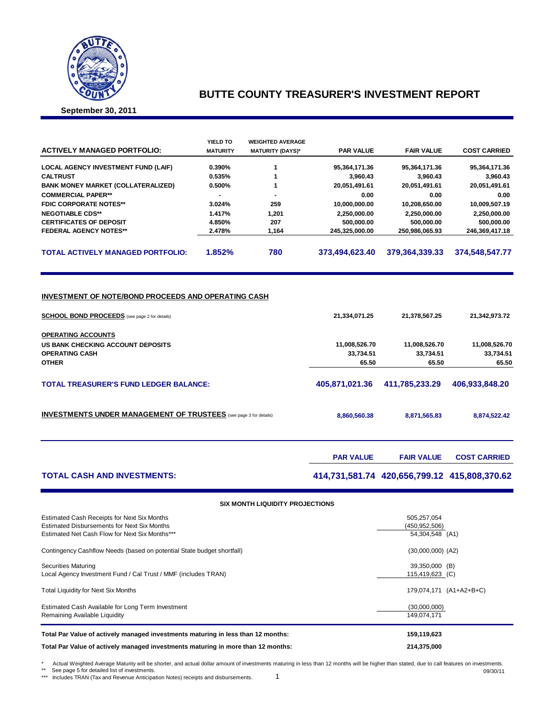

## **BUTTE COUNTY TREASURER'S INVESTMENT REPORT**

**September 30, 2011**

| <b>ACTIVELY MANAGED PORTFOLIO:</b>         | YIELD TO<br><b>MATURITY</b> | <b>WEIGHTED AVERAGE</b><br><b>MATURITY (DAYS)*</b> | <b>PAR VALUE</b> | <b>FAIR VALUE</b> | <b>COST CARRIED</b> |
|--------------------------------------------|-----------------------------|----------------------------------------------------|------------------|-------------------|---------------------|
| <b>LOCAL AGENCY INVESTMENT FUND (LAIF)</b> | 0.390%                      |                                                    | 95,364,171.36    | 95,364,171.36     | 95,364,171.36       |
| <b>CALTRUST</b>                            | 0.535%                      |                                                    | 3.960.43         | 3,960.43          | 3,960.43            |
| <b>BANK MONEY MARKET (COLLATERALIZED)</b>  | 0.500%                      |                                                    | 20.051.491.61    | 20,051,491.61     | 20,051,491.61       |
| <b>COMMERCIAL PAPER**</b>                  |                             |                                                    | 0.00             | 0.00              | 0.00                |
| <b>FDIC CORPORATE NOTES**</b>              | 3.024%                      | 259                                                | 10,000,000.00    | 10,208,650.00     | 10,009,507.19       |
| <b>NEGOTIABLE CDS**</b>                    | 1.417%                      | 1.201                                              | 2,250,000.00     | 2,250,000.00      | 2,250,000.00        |
| <b>CERTIFICATES OF DEPOSIT</b>             | 4.850%                      | 207                                                | 500.000.00       | 500,000.00        | 500,000.00          |
| <b>FEDERAL AGENCY NOTES**</b>              | 2.478%                      | 1.164                                              | 245.325.000.00   | 250.986.065.93    | 246.369.417.18      |
| <b>TOTAL ACTIVELY MANAGED PORTFOLIO:</b>   | 1.852%                      | 780                                                | 373,494,623.40   | 379,364,339.33    | 374,548,547.77      |

#### **INVESTMENT OF NOTE/BOND PROCEEDS AND OPERATING CASH**

| 21,334,071.25  | 21,378,567.25  | 21,342,973.72  |
|----------------|----------------|----------------|
|                |                |                |
| 11,008,526.70  | 11,008,526.70  | 11,008,526.70  |
| 33,734.51      | 33,734.51      | 33,734.51      |
| 65.50          | 65.50          | 65.50          |
| 405.871.021.36 | 411.785.233.29 | 406.933.848.20 |
| 8,860,560.38   | 8,871,565.83   | 8,874,522.42   |
|                |                |                |

|                                    | <b>PAR VALUE</b> | <b>FAIR VALUE</b>                            | <b>COST CARRIED</b> |
|------------------------------------|------------------|----------------------------------------------|---------------------|
| <b>TOTAL CASH AND INVESTMENTS:</b> |                  | 414,731,581.74 420,656,799.12 415,808,370.62 |                     |

| <b>SIX MONTH LIQUIDITY PROJECTIONS</b>                                                                                                              |                                                   |  |  |  |  |  |  |  |
|-----------------------------------------------------------------------------------------------------------------------------------------------------|---------------------------------------------------|--|--|--|--|--|--|--|
| Estimated Cash Receipts for Next Six Months<br><b>Estimated Disbursements for Next Six Months</b><br>Estimated Net Cash Flow for Next Six Months*** | 505,257,054<br>(450, 952, 506)<br>54,304,548 (A1) |  |  |  |  |  |  |  |
| Contingency Cashflow Needs (based on potential State budget shortfall)                                                                              | $(30,000,000)$ $(A2)$                             |  |  |  |  |  |  |  |
| Securities Maturing<br>Local Agency Investment Fund / Cal Trust / MMF (includes TRAN)                                                               | 39,350,000 (B)<br>115,419,623 (C)                 |  |  |  |  |  |  |  |
| Total Liquidity for Next Six Months                                                                                                                 | 179,074,171 (A1+A2+B+C)                           |  |  |  |  |  |  |  |
| Estimated Cash Available for Long Term Investment<br>Remaining Available Liquidity                                                                  | (30,000,000)<br>149.074.171                       |  |  |  |  |  |  |  |
| Total Par Value of actively managed investments maturing in less than 12 months:                                                                    | 159,119,623                                       |  |  |  |  |  |  |  |
| Total Par Value of actively managed investments maturing in more than 12 months:<br>214,375,000                                                     |                                                   |  |  |  |  |  |  |  |

\* Actual Weighted Average Maturity will be shorter, and actual dollar amount of investments maturing in less than 12 months will be higher than stated, due to call features on investments.

\*\* See page 5 for detailed list of investments. \*\*\* Includes TRAN (Tax and Revenue Anticipation Notes) receipts and disbursements.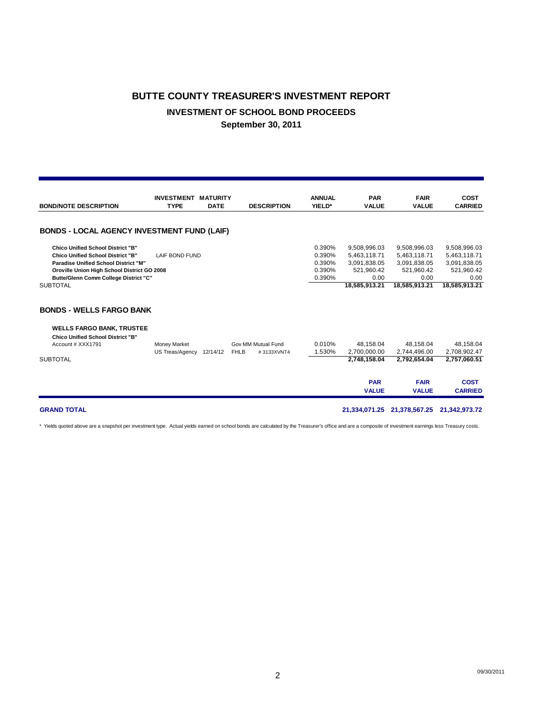# **BUTTE COUNTY TREASURER'S INVESTMENT REPORT INVESTMENT OF SCHOOL BOND PROCEEDS September 30, 2011**

|                                                                              | <b>INVESTMENT</b>               | <b>MATURITY</b> |                           | <b>ANNUAL</b> | <b>PAR</b>                | <b>FAIR</b>               | <b>COST</b>    |
|------------------------------------------------------------------------------|---------------------------------|-----------------|---------------------------|---------------|---------------------------|---------------------------|----------------|
| <b>BOND/NOTE DESCRIPTION</b>                                                 | <b>TYPE</b>                     | <b>DATE</b>     | <b>DESCRIPTION</b>        | YIELD*        | <b>VALUE</b>              | <b>VALUE</b>              | <b>CARRIED</b> |
|                                                                              |                                 |                 |                           |               |                           |                           |                |
| <b>BONDS - LOCAL AGENCY INVESTMENT FUND (LAIF)</b>                           |                                 |                 |                           |               |                           |                           |                |
| <b>Chico Unified School District "B"</b>                                     |                                 |                 |                           | 0.390%        | 9,508,996.03              | 9,508,996.03              | 9,508,996.03   |
| <b>Chico Unified School District "B"</b>                                     | <b>LAIF BOND FUND</b>           |                 |                           | 0.390%        | 5,463,118.71              | 5,463,118.71              | 5,463,118.71   |
| Paradise Unified School District "M"                                         |                                 |                 |                           | 0.390%        | 3,091,838.05              | 3,091,838.05              | 3,091,838.05   |
| Oroville Union High School District GO 2008                                  |                                 |                 |                           | 0.390%        | 521,960.42                | 521,960.42                | 521,960.42     |
| Butte/Glenn Comm College District "C"                                        |                                 |                 |                           | 0.390%        | 0.00                      | 0.00                      | 0.00           |
| <b>SUBTOTAL</b>                                                              |                                 |                 |                           |               | 18,585,913.21             | 18,585,913.21             | 18,585,913.21  |
| <b>BONDS - WELLS FARGO BANK</b>                                              |                                 |                 |                           |               |                           |                           |                |
| <b>WELLS FARGO BANK, TRUSTEE</b><br><b>Chico Unified School District "B"</b> |                                 |                 | Gov MM Mutual Fund        | 0.010%        |                           |                           | 48.158.04      |
| Account # XXX1791                                                            | Money Market<br>US Treas/Agency | 12/14/12        | <b>FHLB</b><br>#3133XVNT4 | 1.530%        | 48.158.04<br>2.700.000.00 | 48.158.04<br>2,744,496.00 | 2,708,902.47   |
| <b>SUBTOTAL</b>                                                              |                                 |                 |                           |               | 2.748.158.04              | 2,792,654.04              | 2,757,060.51   |
|                                                                              |                                 |                 |                           |               |                           |                           |                |
|                                                                              |                                 |                 |                           |               | <b>PAR</b>                | <b>FAIR</b>               | <b>COST</b>    |
|                                                                              |                                 |                 |                           |               | <b>VALUE</b>              | <b>VALUE</b>              | <b>CARRIED</b> |

#### **GRAND TOTAL 21,334,071.25 21,378,567.25 21,342,973.72**

\* Yields quoted above are a snapshot per investment type. Actual yields earned on school bonds are calculated by the Treasurer's office and are a composite of investment earnings less Treasury costs.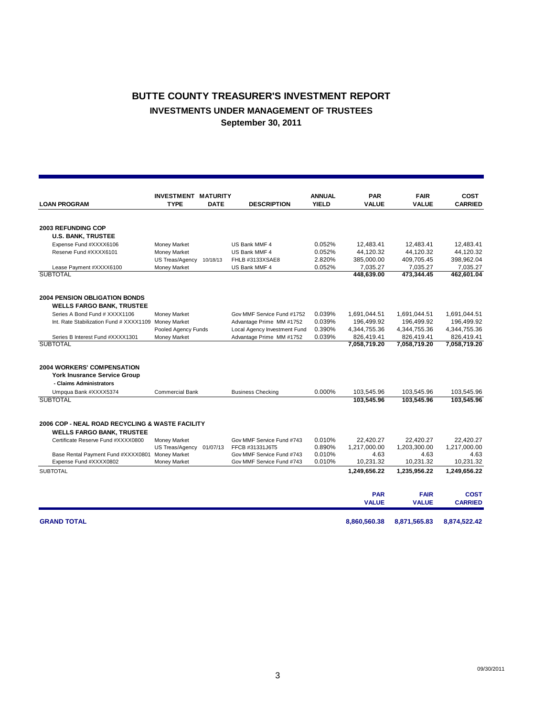# **BUTTE COUNTY TREASURER'S INVESTMENT REPORT INVESTMENTS UNDER MANAGEMENT OF TRUSTEES September 30, 2011**

|                                                 | <b>INVESTMENT MATURITY</b> |             |                              | <b>ANNUAL</b> | <b>PAR</b>   | <b>FAIR</b>  | COST           |
|-------------------------------------------------|----------------------------|-------------|------------------------------|---------------|--------------|--------------|----------------|
| <b>LOAN PROGRAM</b>                             | <b>TYPE</b>                | <b>DATE</b> | <b>DESCRIPTION</b>           | <b>YIELD</b>  | <b>VALUE</b> | <b>VALUE</b> | <b>CARRIED</b> |
|                                                 |                            |             |                              |               |              |              |                |
| <b>2003 REFUNDING COP</b>                       |                            |             |                              |               |              |              |                |
| <b>U.S. BANK, TRUSTEE</b>                       |                            |             |                              |               |              |              |                |
| Expense Fund #XXXX6106                          | Money Market               |             | US Bank MMF 4                | 0.052%        | 12,483.41    | 12.483.41    | 12.483.41      |
| Reserve Fund #XXXX6101                          | Money Market               |             | US Bank MMF 4                | 0.052%        | 44,120.32    | 44,120.32    | 44,120.32      |
|                                                 | US Treas/Agency 10/18/13   |             | FHLB #3133XSAE8              | 2.820%        | 385,000.00   | 409,705.45   | 398,962.04     |
| Lease Payment #XXXX6100                         | Money Market               |             | US Bank MMF 4                | 0.052%        | 7,035.27     | 7,035.27     | 7,035.27       |
| <b>SUBTOTAL</b>                                 |                            |             |                              |               | 448.639.00   | 473.344.45   | 462,601.04     |
| <b>2004 PENSION OBLIGATION BONDS</b>            |                            |             |                              |               |              |              |                |
| <b>WELLS FARGO BANK, TRUSTEE</b>                |                            |             |                              |               |              |              |                |
| Series A Bond Fund # XXXX1106                   | Money Market               |             | Gov MMF Service Fund #1752   | 0.039%        | 1,691,044.51 | 1,691,044.51 | 1,691,044.51   |
| Int. Rate Stabilization Fund # XXXX1109         | <b>Money Market</b>        |             | Advantage Prime MM #1752     | 0.039%        | 196,499.92   | 196,499.92   | 196,499.92     |
|                                                 | Pooled Agency Funds        |             | Local Agency Investment Fund | 0.390%        | 4,344,755.36 | 4,344,755.36 | 4,344,755.36   |
| Series B Interest Fund #XXXX1301                | Money Market               |             | Advantage Prime MM #1752     | 0.039%        | 826,419.41   | 826,419.41   | 826,419.41     |
| <b>SUBTOTAL</b>                                 |                            |             |                              |               | 7,058,719.20 | 7,058,719.20 | 7,058,719.20   |
|                                                 |                            |             |                              |               |              |              |                |
| <b>2004 WORKERS' COMPENSATION</b>               |                            |             |                              |               |              |              |                |
| <b>York Inusrance Service Group</b>             |                            |             |                              |               |              |              |                |
| - Claims Administrators                         |                            |             |                              |               |              |              |                |
| Umpqua Bank #XXXX5374                           | <b>Commercial Bank</b>     |             | <b>Business Checking</b>     | 0.000%        | 103.545.96   | 103,545.96   | 103,545.96     |
| <b>SUBTOTAL</b>                                 |                            |             |                              |               | 103.545.96   | 103.545.96   | 103.545.96     |
|                                                 |                            |             |                              |               |              |              |                |
| 2006 COP - NEAL ROAD RECYCLING & WASTE FACILITY |                            |             |                              |               |              |              |                |
| <b>WELLS FARGO BANK, TRUSTEE</b>                |                            |             |                              |               |              |              |                |
| Certificate Reserve Fund #XXXX0800              | Money Market               |             | Gov MMF Service Fund #743    | 0.010%        | 22,420.27    | 22,420.27    | 22,420.27      |
|                                                 | US Treas/Agency            | 01/07/13    | FFCB #31331J6T5              | 0.890%        | 1,217,000.00 | 1,203,300.00 | 1,217,000.00   |
| Base Rental Payment Fund #XXXX0801              | <b>Money Market</b>        |             | Gov MMF Service Fund #743    | 0.010%        | 4.63         | 4.63         | 4.63           |
| Expense Fund #XXXX0802                          | Money Market               |             | Gov MMF Service Fund #743    | 0.010%        | 10,231.32    | 10,231.32    | 10,231.32      |
| <b>SUBTOTAL</b>                                 |                            |             |                              |               | 1,249,656.22 | 1,235,956.22 | 1,249,656.22   |
|                                                 |                            |             |                              |               | <b>PAR</b>   | <b>FAIR</b>  | <b>COST</b>    |
|                                                 |                            |             |                              |               | <b>VALUE</b> | <b>VALUE</b> | <b>CARRIED</b> |
| <b>GRAND TOTAL</b>                              |                            |             |                              |               | 8,860,560.38 | 8,871,565.83 | 8,874,522.42   |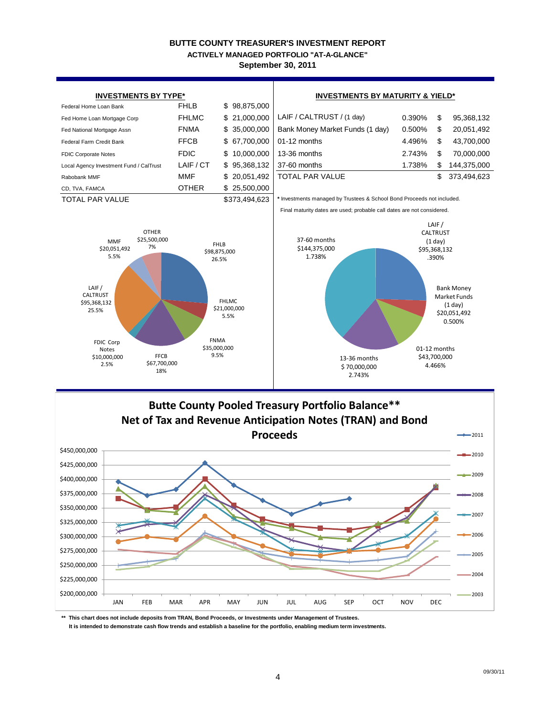#### **BUTTE COUNTY TREASURER'S INVESTMENT REPORT September 30, 2011 ACTIVELY MANAGED PORTFOLIO "AT-A-GLANCE"**



**\*\* This chart does not include deposits from TRAN, Bond Proceeds, or Investments under Management of Trustees.**

 **It is intended to demonstrate cash flow trends and establish a baseline for the portfolio, enabling medium term investments.**